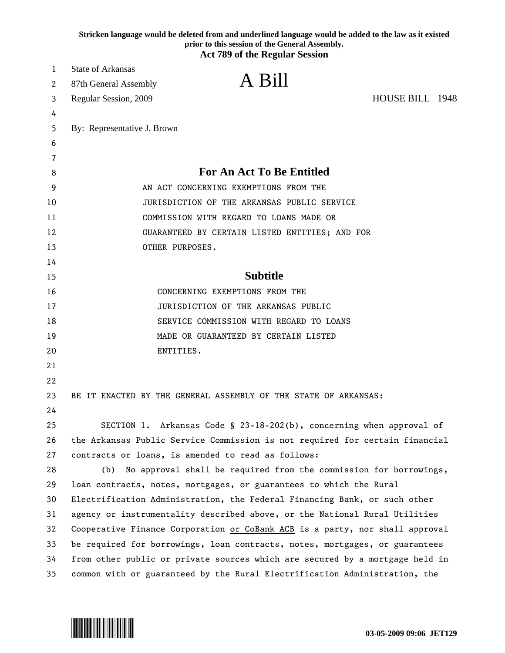|    |                                                    | Stricken language would be deleted from and underlined language would be added to the law as it existed<br>prior to this session of the General Assembly.<br><b>Act 789 of the Regular Session</b> |  |
|----|----------------------------------------------------|----------------------------------------------------------------------------------------------------------------------------------------------------------------------------------------------------|--|
| 1  | <b>State of Arkansas</b>                           |                                                                                                                                                                                                    |  |
| 2  | 87th General Assembly                              | A Bill                                                                                                                                                                                             |  |
| 3  | Regular Session, 2009                              | HOUSE BILL 1948                                                                                                                                                                                    |  |
| 4  |                                                    |                                                                                                                                                                                                    |  |
| 5  | By: Representative J. Brown                        |                                                                                                                                                                                                    |  |
| 6  |                                                    |                                                                                                                                                                                                    |  |
| 7  |                                                    |                                                                                                                                                                                                    |  |
| 8  |                                                    | <b>For An Act To Be Entitled</b>                                                                                                                                                                   |  |
| 9  |                                                    | AN ACT CONCERNING EXEMPTIONS FROM THE                                                                                                                                                              |  |
| 10 |                                                    | JURISDICTION OF THE ARKANSAS PUBLIC SERVICE                                                                                                                                                        |  |
| 11 |                                                    | COMMISSION WITH REGARD TO LOANS MADE OR                                                                                                                                                            |  |
| 12 |                                                    | GUARANTEED BY CERTAIN LISTED ENTITIES; AND FOR                                                                                                                                                     |  |
| 13 | OTHER PURPOSES.                                    |                                                                                                                                                                                                    |  |
| 14 |                                                    |                                                                                                                                                                                                    |  |
| 15 |                                                    | <b>Subtitle</b>                                                                                                                                                                                    |  |
| 16 |                                                    | CONCERNING EXEMPTIONS FROM THE                                                                                                                                                                     |  |
| 17 |                                                    | JURISDICTION OF THE ARKANSAS PUBLIC                                                                                                                                                                |  |
| 18 |                                                    | SERVICE COMMISSION WITH REGARD TO LOANS                                                                                                                                                            |  |
| 19 |                                                    | MADE OR GUARANTEED BY CERTAIN LISTED                                                                                                                                                               |  |
| 20 | ENTITIES.                                          |                                                                                                                                                                                                    |  |
| 21 |                                                    |                                                                                                                                                                                                    |  |
| 22 |                                                    |                                                                                                                                                                                                    |  |
| 23 |                                                    | BE IT ENACTED BY THE GENERAL ASSEMBLY OF THE STATE OF ARKANSAS:                                                                                                                                    |  |
| 24 |                                                    |                                                                                                                                                                                                    |  |
| 25 |                                                    | SECTION 1. Arkansas Code § 23-18-202(b), concerning when approval of                                                                                                                               |  |
| 26 |                                                    | the Arkansas Public Service Commission is not required for certain financial                                                                                                                       |  |
| 27 | contracts or loans, is amended to read as follows: |                                                                                                                                                                                                    |  |
| 28 | (b)                                                | No approval shall be required from the commission for borrowings,                                                                                                                                  |  |
| 29 |                                                    | loan contracts, notes, mortgages, or guarantees to which the Rural                                                                                                                                 |  |
| 30 |                                                    | Electrification Administration, the Federal Financing Bank, or such other                                                                                                                          |  |
| 31 |                                                    | agency or instrumentality described above, or the National Rural Utilities                                                                                                                         |  |
| 32 |                                                    | Cooperative Finance Corporation or CoBank ACB is a party, nor shall approval                                                                                                                       |  |
| 33 |                                                    | be required for borrowings, loan contracts, notes, mortgages, or guarantees                                                                                                                        |  |
| 34 |                                                    | from other public or private sources which are secured by a mortgage held in                                                                                                                       |  |
| 35 |                                                    | common with or guaranteed by the Rural Electrification Administration, the                                                                                                                         |  |